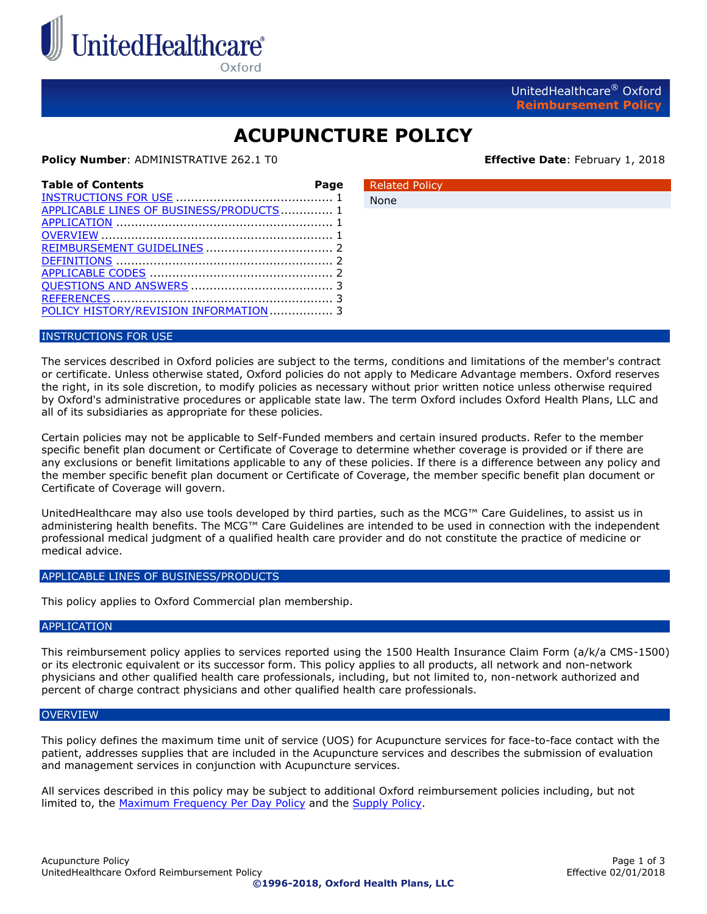

Oxford

UnitedHealthcare® Oxford **Reimbursement Policy**

# **ACUPUNCTURE POLICY**

Related Policy

None

**Policy Number: ADMINISTRATIVE 262.1 T0 Effective Date**: February 1, 2018

| <b>Table of Contents</b>                | Page |
|-----------------------------------------|------|
| APPLICABLE LINES OF BUSINESS/PRODUCTS 1 |      |
|                                         |      |
|                                         |      |
|                                         |      |
|                                         |      |
|                                         |      |

### <span id="page-0-0"></span>INSTRUCTIONS FOR USE

The services described in Oxford policies are subject to the terms, conditions and limitations of the member's contract or certificate. Unless otherwise stated, Oxford policies do not apply to Medicare Advantage members. Oxford reserves the right, in its sole discretion, to modify policies as necessary without prior written notice unless otherwise required by Oxford's administrative procedures or applicable state law. The term Oxford includes Oxford Health Plans, LLC and all of its subsidiaries as appropriate for these policies.

Certain policies may not be applicable to Self-Funded members and certain insured products. Refer to the member specific benefit plan document or Certificate of Coverage to determine whether coverage is provided or if there are any exclusions or benefit limitations applicable to any of these policies. If there is a difference between any policy and the member specific benefit plan document or Certificate of Coverage, the member specific benefit plan document or Certificate of Coverage will govern.

UnitedHealthcare may also use tools developed by third parties, such as the MCG™ Care Guidelines, to assist us in administering health benefits. The MCG™ Care Guidelines are intended to be used in connection with the independent professional medical judgment of a qualified health care provider and do not constitute the practice of medicine or medical advice.

#### <span id="page-0-1"></span>APPLICABLE LINES OF BUSINESS/PRODUCTS

This policy applies to Oxford Commercial plan membership.

#### <span id="page-0-2"></span>**APPLICATION**

This reimbursement policy applies to services reported using the 1500 Health Insurance Claim Form (a/k/a CMS-1500) or its electronic equivalent or its successor form. This policy applies to all products, all network and non-network physicians and other qualified health care professionals, including, but not limited to, non-network authorized and percent of charge contract physicians and other qualified health care professionals.

#### <span id="page-0-3"></span>**OVERVIEW**

This policy defines the maximum time unit of service (UOS) for Acupuncture services for face-to-face contact with the patient, addresses supplies that are included in the Acupuncture services and describes the submission of evaluation and management services in conjunction with Acupuncture services.

All services described in this policy may be subject to additional Oxford reimbursement policies including, but not limited to, the [Maximum Frequency Per Day Policy](https://www.oxhp.com/secure/policy/maximum_frequency_per_day.pdf) and the [Supply Policy.](https://www.oxhp.com/secure/policy/supply_policy.pdf)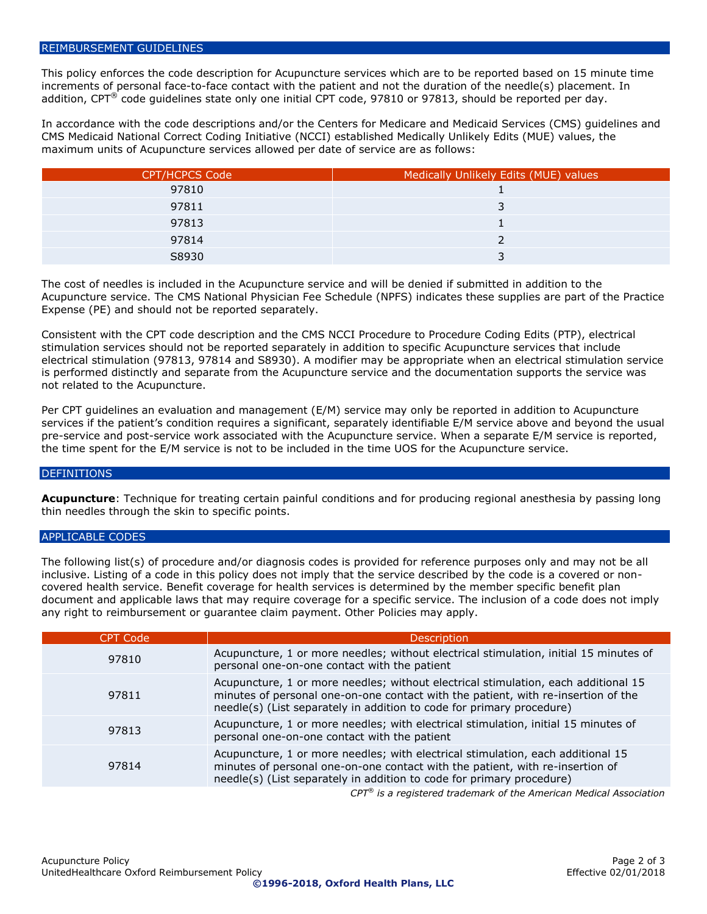#### <span id="page-1-0"></span>REIMBURSEMENT GUIDELINES

This policy enforces the code description for Acupuncture services which are to be reported based on 15 minute time increments of personal face-to-face contact with the patient and not the duration of the needle(s) placement. In addition,  $CPT^®$  code guidelines state only one initial CPT code, 97810 or 97813, should be reported per day.

In accordance with the code descriptions and/or the Centers for Medicare and Medicaid Services (CMS) guidelines and CMS Medicaid National Correct Coding Initiative (NCCI) established Medically Unlikely Edits (MUE) values, the maximum units of Acupuncture services allowed per date of service are as follows:

| <b>CPT/HCPCS Code</b> | Medically Unlikely Edits (MUE) values |
|-----------------------|---------------------------------------|
| 97810                 |                                       |
| 97811                 |                                       |
| 97813                 |                                       |
| 97814                 |                                       |
| S8930                 |                                       |

The cost of needles is included in the Acupuncture service and will be denied if submitted in addition to the Acupuncture service. The CMS National Physician Fee Schedule (NPFS) indicates these supplies are part of the Practice Expense (PE) and should not be reported separately.

Consistent with the CPT code description and the CMS NCCI Procedure to Procedure Coding Edits (PTP), electrical stimulation services should not be reported separately in addition to specific Acupuncture services that include electrical stimulation (97813, 97814 and S8930). A modifier may be appropriate when an electrical stimulation service is performed distinctly and separate from the Acupuncture service and the documentation supports the service was not related to the Acupuncture.

Per CPT guidelines an evaluation and management (E/M) service may only be reported in addition to Acupuncture services if the patient's condition requires a significant, separately identifiable E/M service above and beyond the usual pre-service and post-service work associated with the Acupuncture service. When a separate E/M service is reported, the time spent for the E/M service is not to be included in the time UOS for the Acupuncture service.

#### <span id="page-1-1"></span>DEFINITIONS

**Acupuncture**: Technique for treating certain painful conditions and for producing regional anesthesia by passing long thin needles through the skin to specific points.

#### <span id="page-1-2"></span>APPLICABLE CODES

The following list(s) of procedure and/or diagnosis codes is provided for reference purposes only and may not be all inclusive. Listing of a code in this policy does not imply that the service described by the code is a covered or noncovered health service. Benefit coverage for health services is determined by the member specific benefit plan document and applicable laws that may require coverage for a specific service. The inclusion of a code does not imply any right to reimbursement or guarantee claim payment. Other Policies may apply.

| <b>CPT Code</b> | <b>Description</b>                                                                                                                                                                                                                               |
|-----------------|--------------------------------------------------------------------------------------------------------------------------------------------------------------------------------------------------------------------------------------------------|
| 97810           | Acupuncture, 1 or more needles; without electrical stimulation, initial 15 minutes of<br>personal one-on-one contact with the patient                                                                                                            |
| 97811           | Acupuncture, 1 or more needles; without electrical stimulation, each additional 15<br>minutes of personal one-on-one contact with the patient, with re-insertion of the<br>needle(s) (List separately in addition to code for primary procedure) |
| 97813           | Acupuncture, 1 or more needles; with electrical stimulation, initial 15 minutes of<br>personal one-on-one contact with the patient                                                                                                               |
| 97814           | Acupuncture, 1 or more needles; with electrical stimulation, each additional 15<br>minutes of personal one-on-one contact with the patient, with re-insertion of<br>needle(s) (List separately in addition to code for primary procedure)        |
|                 | $CDT^{(0)}$ is a registered trademark of the American Medical Association                                                                                                                                                                        |

*CPT® is a registered trademark of the American Medical Association*